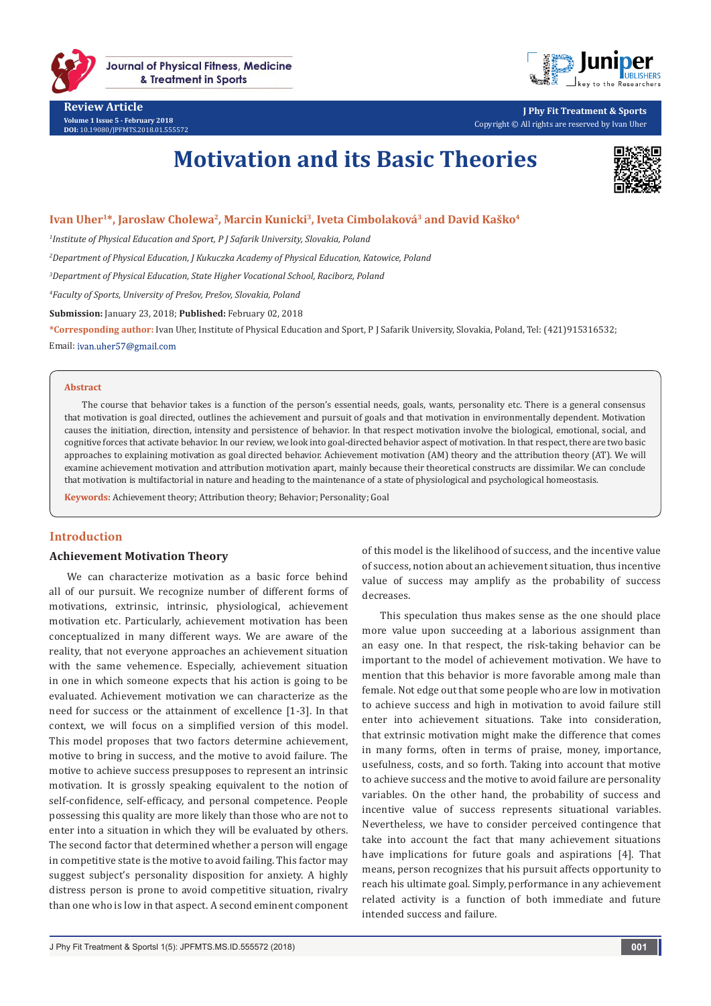

**Review Article Volume 1 Issue 5 - February 2018 DOI:** [10.19080/JPFMTS.2018.01.555572](http://dx.doi.org/10.19080/JPFMTS.2018.01.555572
)



**J Phy Fit Treatment & Sports** Copyright © All rights are reserved by Ivan Uher

# **Motivation and its Basic Theories**



### Ivan Uher<sup>1\*</sup>, Jaroslaw Cholewa<sup>2</sup>, Marcin Kunicki<sup>3</sup>, Iveta Cimbolaková<sup>3</sup> and David Kaško<sup>4</sup>

*1 Institute of Physical Education and Sport, P J Safarik University, Slovakia, Poland*

*2 Department of Physical Education, J Kukuczka Academy of Physical Education, Katowice, Poland* 

*3 Department of Physical Education, State Higher Vocational School, Raciborz, Poland*

*4 Faculty of Sports, University of Prešov, Prešov, Slovakia, Poland*

**Submission:** January 23, 2018; **Published:** February 02, 2018

**\*Corresponding author:** Ivan Uher, Institute of Physical Education and Sport, P J Safarik University, Slovakia, Poland, Tel: (421)915316532; Email: ivan.uher57@gmail.com

#### **Abstract**

The course that behavior takes is a function of the person's essential needs, goals, wants, personality etc. There is a general consensus that motivation is goal directed, outlines the achievement and pursuit of goals and that motivation in environmentally dependent. Motivation causes the initiation, direction, intensity and persistence of behavior. In that respect motivation involve the biological, emotional, social, and cognitive forces that activate behavior. In our review, we look into goal-directed behavior aspect of motivation. In that respect, there are two basic approaches to explaining motivation as goal directed behavior. Achievement motivation (AM) theory and the attribution theory (AT). We will examine achievement motivation and attribution motivation apart, mainly because their theoretical constructs are dissimilar. We can conclude that motivation is multifactorial in nature and heading to the maintenance of a state of physiological and psychological homeostasis.

**Keywords:** Achievement theory; Attribution theory; Behavior; Personality; Goal

#### **Introduction**

#### **Achievement Motivation Theory**

We can characterize motivation as a basic force behind all of our pursuit. We recognize number of different forms of motivations, extrinsic, intrinsic, physiological, achievement motivation etc. Particularly, achievement motivation has been conceptualized in many different ways. We are aware of the reality, that not everyone approaches an achievement situation with the same vehemence. Especially, achievement situation in one in which someone expects that his action is going to be evaluated. Achievement motivation we can characterize as the need for success or the attainment of excellence [1-3]. In that context, we will focus on a simplified version of this model. This model proposes that two factors determine achievement, motive to bring in success, and the motive to avoid failure. The motive to achieve success presupposes to represent an intrinsic motivation. It is grossly speaking equivalent to the notion of self-confidence, self-efficacy, and personal competence. People possessing this quality are more likely than those who are not to enter into a situation in which they will be evaluated by others. The second factor that determined whether a person will engage in competitive state is the motive to avoid failing. This factor may suggest subject's personality disposition for anxiety. A highly distress person is prone to avoid competitive situation, rivalry than one who is low in that aspect. A second eminent component of this model is the likelihood of success, and the incentive value of success, notion about an achievement situation, thus incentive value of success may amplify as the probability of success decreases.

This speculation thus makes sense as the one should place more value upon succeeding at a laborious assignment than an easy one. In that respect, the risk-taking behavior can be important to the model of achievement motivation. We have to mention that this behavior is more favorable among male than female. Not edge out that some people who are low in motivation to achieve success and high in motivation to avoid failure still enter into achievement situations. Take into consideration, that extrinsic motivation might make the difference that comes in many forms, often in terms of praise, money, importance, usefulness, costs, and so forth. Taking into account that motive to achieve success and the motive to avoid failure are personality variables. On the other hand, the probability of success and incentive value of success represents situational variables. Nevertheless, we have to consider perceived contingence that take into account the fact that many achievement situations have implications for future goals and aspirations [4]. That means, person recognizes that his pursuit affects opportunity to reach his ultimate goal. Simply, performance in any achievement related activity is a function of both immediate and future intended success and failure.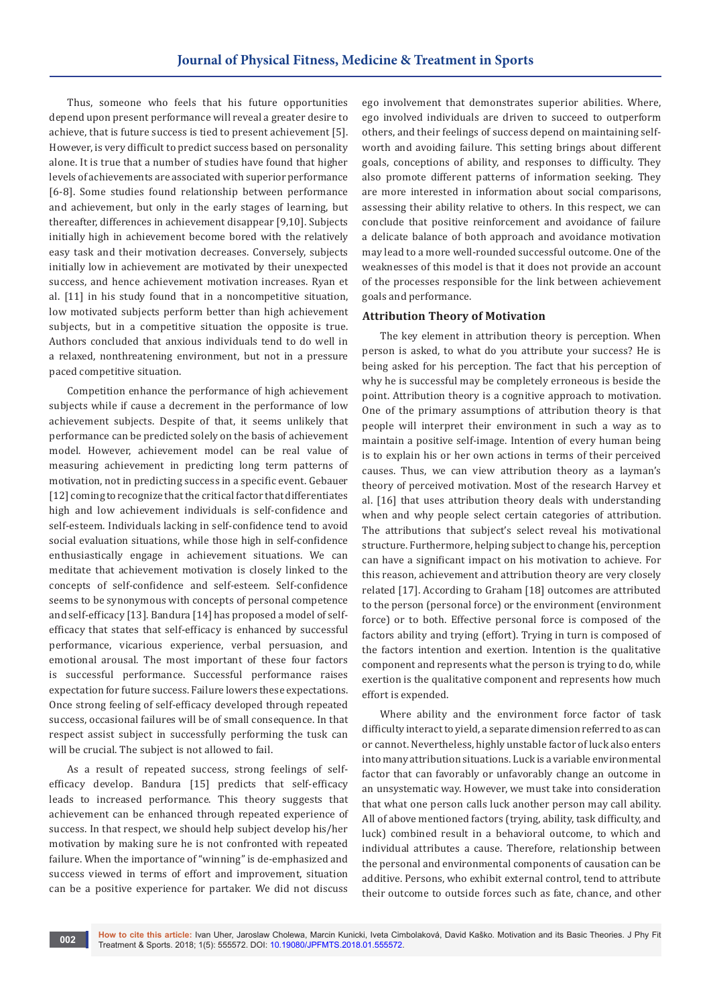Thus, someone who feels that his future opportunities depend upon present performance will reveal a greater desire to achieve, that is future success is tied to present achievement [5]. However, is very difficult to predict success based on personality alone. It is true that a number of studies have found that higher levels of achievements are associated with superior performance [6-8]. Some studies found relationship between performance and achievement, but only in the early stages of learning, but thereafter, differences in achievement disappear [9,10]. Subjects initially high in achievement become bored with the relatively easy task and their motivation decreases. Conversely, subjects initially low in achievement are motivated by their unexpected success, and hence achievement motivation increases. Ryan et al. [11] in his study found that in a noncompetitive situation, low motivated subjects perform better than high achievement subjects, but in a competitive situation the opposite is true. Authors concluded that anxious individuals tend to do well in a relaxed, nonthreatening environment, but not in a pressure paced competitive situation.

Competition enhance the performance of high achievement subjects while if cause a decrement in the performance of low achievement subjects. Despite of that, it seems unlikely that performance can be predicted solely on the basis of achievement model. However, achievement model can be real value of measuring achievement in predicting long term patterns of motivation, not in predicting success in a specific event. Gebauer [12] coming to recognize that the critical factor that differentiates high and low achievement individuals is self-confidence and self-esteem. Individuals lacking in self-confidence tend to avoid social evaluation situations, while those high in self-confidence enthusiastically engage in achievement situations. We can meditate that achievement motivation is closely linked to the concepts of self-confidence and self-esteem. Self-confidence seems to be synonymous with concepts of personal competence and self-efficacy [13]. Bandura [14] has proposed a model of selfefficacy that states that self-efficacy is enhanced by successful performance, vicarious experience, verbal persuasion, and emotional arousal. The most important of these four factors is successful performance. Successful performance raises expectation for future success. Failure lowers these expectations. Once strong feeling of self-efficacy developed through repeated success, occasional failures will be of small consequence. In that respect assist subject in successfully performing the tusk can will be crucial. The subject is not allowed to fail.

As a result of repeated success, strong feelings of selfefficacy develop. Bandura [15] predicts that self-efficacy leads to increased performance. This theory suggests that achievement can be enhanced through repeated experience of success. In that respect, we should help subject develop his/her motivation by making sure he is not confronted with repeated failure. When the importance of "winning" is de-emphasized and success viewed in terms of effort and improvement, situation can be a positive experience for partaker. We did not discuss

ego involvement that demonstrates superior abilities. Where, ego involved individuals are driven to succeed to outperform others, and their feelings of success depend on maintaining selfworth and avoiding failure. This setting brings about different goals, conceptions of ability, and responses to difficulty. They also promote different patterns of information seeking. They are more interested in information about social comparisons, assessing their ability relative to others. In this respect, we can conclude that positive reinforcement and avoidance of failure a delicate balance of both approach and avoidance motivation may lead to a more well-rounded successful outcome. One of the weaknesses of this model is that it does not provide an account of the processes responsible for the link between achievement goals and performance.

#### **Attribution Theory of Motivation**

The key element in attribution theory is perception. When person is asked, to what do you attribute your success? He is being asked for his perception. The fact that his perception of why he is successful may be completely erroneous is beside the point. Attribution theory is a cognitive approach to motivation. One of the primary assumptions of attribution theory is that people will interpret their environment in such a way as to maintain a positive self-image. Intention of every human being is to explain his or her own actions in terms of their perceived causes. Thus, we can view attribution theory as a layman's theory of perceived motivation. Most of the research Harvey et al. [16] that uses attribution theory deals with understanding when and why people select certain categories of attribution. The attributions that subject's select reveal his motivational structure. Furthermore, helping subject to change his, perception can have a significant impact on his motivation to achieve. For this reason, achievement and attribution theory are very closely related [17]. According to Graham [18] outcomes are attributed to the person (personal force) or the environment (environment force) or to both. Effective personal force is composed of the factors ability and trying (effort). Trying in turn is composed of the factors intention and exertion. Intention is the qualitative component and represents what the person is trying to do, while exertion is the qualitative component and represents how much effort is expended.

Where ability and the environment force factor of task difficulty interact to yield, a separate dimension referred to as can or cannot. Nevertheless, highly unstable factor of luck also enters into many attribution situations. Luck is a variable environmental factor that can favorably or unfavorably change an outcome in an unsystematic way. However, we must take into consideration that what one person calls luck another person may call ability. All of above mentioned factors (trying, ability, task difficulty, and luck) combined result in a behavioral outcome, to which and individual attributes a cause. Therefore, relationship between the personal and environmental components of causation can be additive. Persons, who exhibit external control, tend to attribute their outcome to outside forces such as fate, chance, and other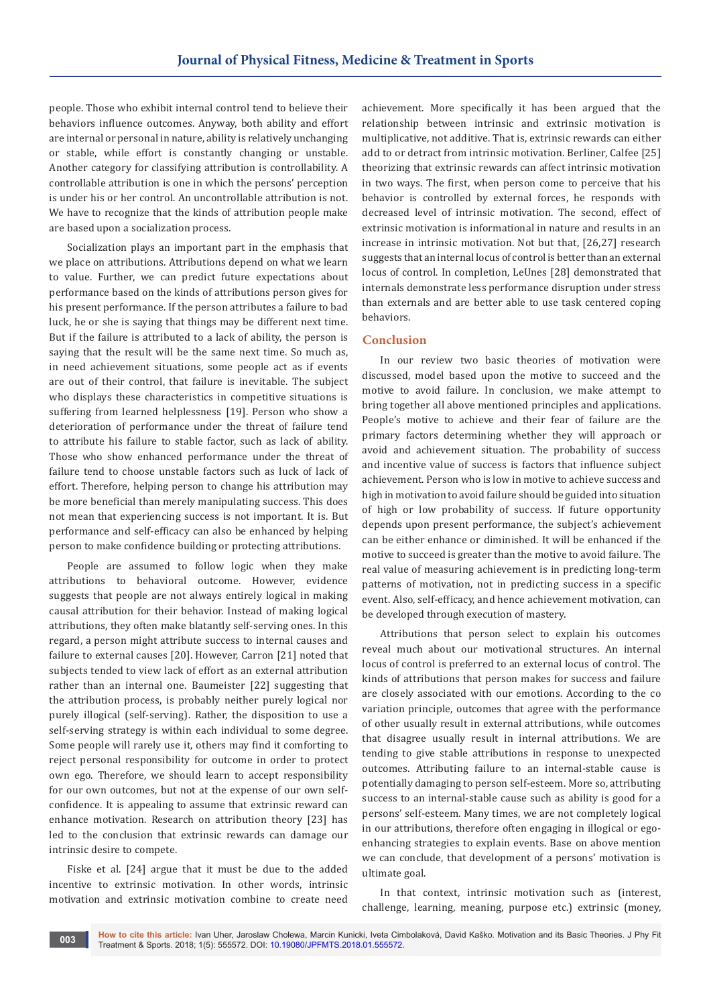people. Those who exhibit internal control tend to believe their behaviors influence outcomes. Anyway, both ability and effort are internal or personal in nature, ability is relatively unchanging or stable, while effort is constantly changing or unstable. Another category for classifying attribution is controllability. A controllable attribution is one in which the persons' perception is under his or her control. An uncontrollable attribution is not. We have to recognize that the kinds of attribution people make are based upon a socialization process.

Socialization plays an important part in the emphasis that we place on attributions. Attributions depend on what we learn to value. Further, we can predict future expectations about performance based on the kinds of attributions person gives for his present performance. If the person attributes a failure to bad luck, he or she is saying that things may be different next time. But if the failure is attributed to a lack of ability, the person is saying that the result will be the same next time. So much as, in need achievement situations, some people act as if events are out of their control, that failure is inevitable. The subject who displays these characteristics in competitive situations is suffering from learned helplessness [19]. Person who show a deterioration of performance under the threat of failure tend to attribute his failure to stable factor, such as lack of ability. Those who show enhanced performance under the threat of failure tend to choose unstable factors such as luck of lack of effort. Therefore, helping person to change his attribution may be more beneficial than merely manipulating success. This does not mean that experiencing success is not important. It is. But performance and self-efficacy can also be enhanced by helping person to make confidence building or protecting attributions.

People are assumed to follow logic when they make attributions to behavioral outcome. However, evidence suggests that people are not always entirely logical in making causal attribution for their behavior. Instead of making logical attributions, they often make blatantly self-serving ones. In this regard, a person might attribute success to internal causes and failure to external causes [20]. However, Carron [21] noted that subjects tended to view lack of effort as an external attribution rather than an internal one. Baumeister [22] suggesting that the attribution process, is probably neither purely logical nor purely illogical (self-serving). Rather, the disposition to use a self-serving strategy is within each individual to some degree. Some people will rarely use it, others may find it comforting to reject personal responsibility for outcome in order to protect own ego. Therefore, we should learn to accept responsibility for our own outcomes, but not at the expense of our own selfconfidence. It is appealing to assume that extrinsic reward can enhance motivation. Research on attribution theory [23] has led to the conclusion that extrinsic rewards can damage our intrinsic desire to compete.

Fiske et al. [24] argue that it must be due to the added incentive to extrinsic motivation. In other words, intrinsic motivation and extrinsic motivation combine to create need

achievement. More specifically it has been argued that the relationship between intrinsic and extrinsic motivation is multiplicative, not additive. That is, extrinsic rewards can either add to or detract from intrinsic motivation. Berliner, Calfee [25] theorizing that extrinsic rewards can affect intrinsic motivation in two ways. The first, when person come to perceive that his behavior is controlled by external forces, he responds with decreased level of intrinsic motivation. The second, effect of extrinsic motivation is informational in nature and results in an increase in intrinsic motivation. Not but that, [26,27] research suggests that an internal locus of control is better than an external locus of control. In completion, LeUnes [28] demonstrated that internals demonstrate less performance disruption under stress than externals and are better able to use task centered coping behaviors.

#### **Conclusion**

In our review two basic theories of motivation were discussed, model based upon the motive to succeed and the motive to avoid failure. In conclusion, we make attempt to bring together all above mentioned principles and applications. People's motive to achieve and their fear of failure are the primary factors determining whether they will approach or avoid and achievement situation. The probability of success and incentive value of success is factors that influence subject achievement. Person who is low in motive to achieve success and high in motivation to avoid failure should be guided into situation of high or low probability of success. If future opportunity depends upon present performance, the subject's achievement can be either enhance or diminished. It will be enhanced if the motive to succeed is greater than the motive to avoid failure. The real value of measuring achievement is in predicting long-term patterns of motivation, not in predicting success in a specific event. Also, self-efficacy, and hence achievement motivation, can be developed through execution of mastery.

Attributions that person select to explain his outcomes reveal much about our motivational structures. An internal locus of control is preferred to an external locus of control. The kinds of attributions that person makes for success and failure are closely associated with our emotions. According to the co variation principle, outcomes that agree with the performance of other usually result in external attributions, while outcomes that disagree usually result in internal attributions. We are tending to give stable attributions in response to unexpected outcomes. Attributing failure to an internal-stable cause is potentially damaging to person self-esteem. More so, attributing success to an internal-stable cause such as ability is good for a persons' self-esteem. Many times, we are not completely logical in our attributions, therefore often engaging in illogical or egoenhancing strategies to explain events. Base on above mention we can conclude, that development of a persons' motivation is ultimate goal.

In that context, intrinsic motivation such as (interest, challenge, learning, meaning, purpose etc.) extrinsic (money,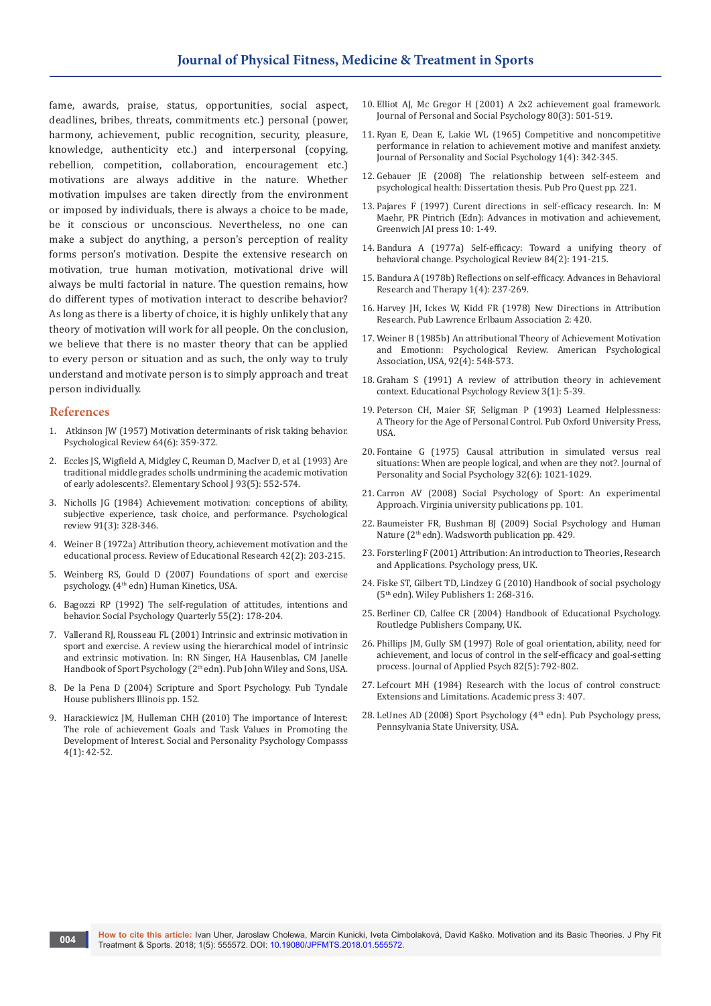fame, awards, praise, status, opportunities, social aspect, deadlines, bribes, threats, commitments etc.) personal (power, harmony, achievement, public recognition, security, pleasure, knowledge, authenticity etc.) and interpersonal (copying, rebellion, competition, collaboration, encouragement etc.) motivations are always additive in the nature. Whether motivation impulses are taken directly from the environment or imposed by individuals, there is always a choice to be made, be it conscious or unconscious. Nevertheless, no one can make a subject do anything, a person's perception of reality forms person's motivation. Despite the extensive research on motivation, true human motivation, motivational drive will always be multi factorial in nature. The question remains, how do different types of motivation interact to describe behavior? As long as there is a liberty of choice, it is highly unlikely that any theory of motivation will work for all people. On the conclusion, we believe that there is no master theory that can be applied to every person or situation and as such, the only way to truly understand and motivate person is to simply approach and treat person individually.

#### **References**

- 1. [Atkinson JW \(1957\) Motivation determinants of risk taking behavior.](http://psycnet.apa.org/record/1959-03029-001)  [Psychological Review 64\(6\): 359-372.](http://psycnet.apa.org/record/1959-03029-001)
- 2. [Eccles JS, Wigfield A, Midgley C, Reuman D, MacIver D, et al. \(1993\) Are](https://www.researchgate.net/publication/233896434_Negative_Effects_of_Traditional_Middle_Schools_on_Students%27_Motivation)  [traditional middle grades scholls undrmining the academic motivation](https://www.researchgate.net/publication/233896434_Negative_Effects_of_Traditional_Middle_Schools_on_Students%27_Motivation)  [of early adolescents?. Elementary School J 93\(5\): 552-574.](https://www.researchgate.net/publication/233896434_Negative_Effects_of_Traditional_Middle_Schools_on_Students%27_Motivation)
- 3. [Nicholls JG \(1984\) Achievement motivation: conceptions of ability,](http://psycnet.apa.org/record/1984-28719-001)  [subjective experience, task choice, and performance. Psychological](http://psycnet.apa.org/record/1984-28719-001)  [review 91\(3\): 328-346.](http://psycnet.apa.org/record/1984-28719-001)
- 4. [Weiner B \(1972a\) Attribution theory, achievement motivation and the](http://psycnet.apa.org/record/1973-10105-001)  [educational process. Review of Educational Research 42\(2\): 203-215.](http://psycnet.apa.org/record/1973-10105-001)
- 5. [Weinberg RS, Gould D \(2007\) Foundations of sport and exercise](http://www.humankinetics.com/foundationsofsportandexercisepsychology4e)  [psychology. \(4th edn\) Human Kinetics, USA.](http://www.humankinetics.com/foundationsofsportandexercisepsychology4e)
- 6. Bagozzi RP (1992) The self-regulation of attitudes, intentions and behavior. Social Psychology Quarterly 55(2): 178-204.
- 7. Vallerand RJ, Rousseau FL (2001) Intrinsic and extrinsic motivation in sport and exercise. A review using the hierarchical model of intrinsic and extrinsic motivation. In: RN Singer, HA Hausenblas, CM Janelle Handbook of Sport Psychology (2<sup>th</sup> edn). Pub John Wiley and Sons, USA.
- 8. [De la Pena D \(2004\) Scripture and Sport Psychology. Pub Tyndale](https://www.iuniverse.com/Bookstore/BookDetail.aspx?BookId=SKU-000026281)  [House publishers Illinois pp. 152.](https://www.iuniverse.com/Bookstore/BookDetail.aspx?BookId=SKU-000026281)
- Harackiewicz JM, Hulleman CHH (2010) The importance of Interest: [The role of achievement Goals and Task Values in Promoting the](http://onlinelibrary.wiley.com/doi/10.1111/j.1751-9004.2009.00207.x/abstract)  [Development of Interest. Social and Personality Psychology Compasss](http://onlinelibrary.wiley.com/doi/10.1111/j.1751-9004.2009.00207.x/abstract)  [4\(1\): 42-52.](http://onlinelibrary.wiley.com/doi/10.1111/j.1751-9004.2009.00207.x/abstract)
- 10. [Elliot AJ, Mc Gregor H \(2001\) A 2x2 achievement goal framework.](https://www.ncbi.nlm.nih.gov/pubmed/11300582)  [Journal of Personal and Social Psychology 80\(3\): 501-519.](https://www.ncbi.nlm.nih.gov/pubmed/11300582)
- 11. [Ryan E, Dean E, Lakie WL \(1965\) Competitive and noncompetitive](http://psycnet.apa.org/record/1965-09272-001)  [performance in relation to achievement motive and manifest anxiety.](http://psycnet.apa.org/record/1965-09272-001)  [Journal of Personality and Social Psychology 1\(4\): 342-345.](http://psycnet.apa.org/record/1965-09272-001)
- 12. [Gebauer JE \(2008\) The relationship between self-esteem and](https://www.google.co.in/url?sa=t&rct=j&q=&esrc=s&source=web&cd=1&ved=0ahUKEwiIh_G8jYTZAhXGPo8KHfcvBpsQFggqMAA&url=https%3A%2F%2Forca.cf.ac.uk%2F54777%2F1%2FU585166.pdf&usg=AOvVaw3GoRhnF2KVeSVVIft-eDwn)  [psychological health: Dissertation thesis. Pub Pro Quest pp. 221.](https://www.google.co.in/url?sa=t&rct=j&q=&esrc=s&source=web&cd=1&ved=0ahUKEwiIh_G8jYTZAhXGPo8KHfcvBpsQFggqMAA&url=https%3A%2F%2Forca.cf.ac.uk%2F54777%2F1%2FU585166.pdf&usg=AOvVaw3GoRhnF2KVeSVVIft-eDwn)
- 13. [Pajares F \(1997\) Curent directions in self-efficacy research. In: M](https://www.uky.edu/~eushe2/Pajares/effchapter.html)  [Maehr, PR Pintrich \(Edn\): Advances in motivation and achievement,](https://www.uky.edu/~eushe2/Pajares/effchapter.html)  [Greenwich JAI press 10: 1-49.](https://www.uky.edu/~eushe2/Pajares/effchapter.html)
- 14. [Bandura A \(1977a\) Self-efficacy: Toward a](http://psycnet.apa.org/record/1977-25733-001) unifying theory of [behavioral change. Psychological Review](http://psycnet.apa.org/record/1977-25733-001) 84(2): 191-215.
- 15. [Bandura A \(1978b\) Reflections on self-efficacy. Advances in Behavioral](https://www.sciencedirect.com/science/article/pii/0146640278900127)  [Research and Therapy](https://www.sciencedirect.com/science/article/pii/0146640278900127) 1(4): 237-269.
- 16. [Harvey JH, Ickes W, Kidd FR \(1978\) New Directions in Attribution](https://www.questia.com/library/7962570/new-directions-in-attribution-research)  [Research. Pub Lawrence Erlbaum Association 2: 420.](https://www.questia.com/library/7962570/new-directions-in-attribution-research)
- 17. [Weiner B \(1985b\) An attributional Theory of Achievement Motivation](http://www.springer.com/in/book/9781461293705)  [and Emotionn: Psychological Review.](http://www.springer.com/in/book/9781461293705) American Psychological [Association, USA, 92\(4\): 548-573.](http://www.springer.com/in/book/9781461293705)
- 18. [Graham S \(1991\) A review of attribution theory in achievement](https://link.springer.com/article/10.1007/BF01323661)  [context. Educational Psychology Review 3\(1\): 5-39.](https://link.springer.com/article/10.1007/BF01323661)
- 19. [Peterson CH, Maier SF, Seligman P \(1993\) Learned Helplessness:](https://global.oup.com/academic/product/learned-helplessness-9780195044676?cc=in&lang=en&)  A [Theory for the Age of Personal Control. Pub Oxford University Press,](https://global.oup.com/academic/product/learned-helplessness-9780195044676?cc=in&lang=en&)  [USA.](https://global.oup.com/academic/product/learned-helplessness-9780195044676?cc=in&lang=en&)
- 20. [Fontaine G \(1975\) Causal attribution in simulated versus real](http://psycnet.apa.org/buy/1976-09852-001)  [situations: When are people logical, and when are they not?. Journal of](http://psycnet.apa.org/buy/1976-09852-001)  [Personality and Social Psychology 32\(6\): 1021-1029.](http://psycnet.apa.org/buy/1976-09852-001)
- 21. [Carron AV \(2008\) Social Psychology of Sport: An experimental](http://link.sandiego.edu/portal/Social-psychology-of-sport--an-experimental/3nRXOALZtXI/)  [Approach. Virginia university publications pp. 101.](http://link.sandiego.edu/portal/Social-psychology-of-sport--an-experimental/3nRXOALZtXI/)
- 22. Baumeister FR, Bushman BJ (2009) Social Psychology and Human Nature (2th edn). Wadsworth publication pp. 429.
- 23. [Forsterling F \(2001\) Attribution: An introduction to Theories, Research](https://mdx.rl.talis.com/items/9C72EC3B-43B6-A263-6A91-D5AE4D19F44C.html)  [and Applications. Psychology press, UK.](https://mdx.rl.talis.com/items/9C72EC3B-43B6-A263-6A91-D5AE4D19F44C.html)
- 24. [Fiske ST, Gilbert TD, Lindzey G \(2010\) Handbook of social psychology](http://onlinelibrary.wiley.com/book/10.1002/9780470561119)  [\(5th edn\). Wiley Publishers 1: 268-316.](http://onlinelibrary.wiley.com/book/10.1002/9780470561119)
- 25. Berliner CD, Calfee CR (2004) Handbook of Educational Psychology. Routledge Publishers Company, UK.
- 26. [Phillips JM, Gully SM \(1997\) Role of goal orientation, ability, need for](https://www.researchgate.net/publication/232604932_Role_of_Goal_Orientation_Ability_Need_for_Achievement_and_Locus_of_Control_in_the_Self-Efficacy_and_Goal-Setting_Process)  [achievement, and locus of control in the self-efficacy and goal-setting](https://www.researchgate.net/publication/232604932_Role_of_Goal_Orientation_Ability_Need_for_Achievement_and_Locus_of_Control_in_the_Self-Efficacy_and_Goal-Setting_Process)  [process. Journal of Applied Psych 82\(5\): 792-802.](https://www.researchgate.net/publication/232604932_Role_of_Goal_Orientation_Ability_Need_for_Achievement_and_Locus_of_Control_in_the_Self-Efficacy_and_Goal-Setting_Process)
- 27. Lefcourt MH (1984) Research with the locus of control construct: Extensions and Limitations. Academic press 3: 407.
- 28. LeUnes AD (2008) Sport Psychology (4<sup>th</sup> edn). Pub Psychology press, Pennsylvania State University, USA.